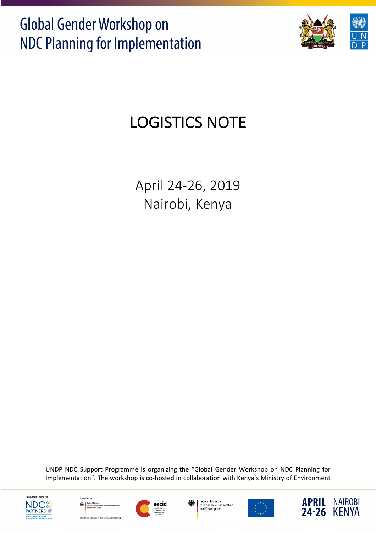

# LOGISTICS NOTE

April 24-26, 2019 Nairobi, Kenya

UNDP NDC Support Programme is organizing the "Global Gender Workshop on NDC Planning for Implementation". The workshop is co-hosted in collaboration with Kenya's Ministry of Environment











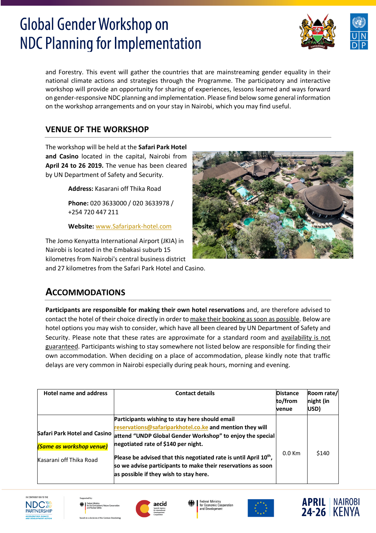

and Forestry. This event will gather the countries that are mainstreaming gender equality in their national climate actions and strategies through the Programme. The participatory and interactive workshop will provide an opportunity for sharing of experiences, lessons learned and ways forward on gender-responsive NDC planning and implementation. Please find below some general information on the workshop arrangements and on your stay in Nairobi, which you may find useful.

## **VENUE OF THE WORKSHOP**

The workshop will be held at the **Safari Park Hotel and Casino** located in the capital, Nairobi from **April 24 to 26 2019.** The venue has been cleared by UN Department of Safety and Security.

**Address:** Kasarani off Thika Road

**Phone:** 020 3633000 / 020 3633978 / +254 720 447 211

**Website:** www.Safaripark-hotel.com

The Jomo Kenyatta International Airport (JKIA) in Nairobi is located in the Embakasi suburb 15 kilometres from Nairobi's central business district and 27 kilometres from the Safari Park Hotel and Casino.



## **ACCOMMODATIONS**

**Participants are responsible for making their own hotel reservations** and, are therefore advised to contact the hotel of their choice directly in order to make their booking as soon as possible. Below are hotel options you may wish to consider, which have all been cleared by UN Department of Safety and Security. Please note that these rates are approximate for a standard room and availability is not guaranteed. Participants wishing to stay somewhere not listed below are responsible for finding their own accommodation. When deciding on a place of accommodation, please kindly note that traffic delays are very common in Nairobi especially during peak hours, morning and evening.

| <b>Hotel name and address</b>                       | <b>Contact details</b>                                                                                                                                                                                                                                                                                                                                                                                                                     | <b>Distance</b><br>to/from<br>venue | Room rate/<br>night (in<br>USD) |
|-----------------------------------------------------|--------------------------------------------------------------------------------------------------------------------------------------------------------------------------------------------------------------------------------------------------------------------------------------------------------------------------------------------------------------------------------------------------------------------------------------------|-------------------------------------|---------------------------------|
| (Same as workshop venue)<br>Kasarani off Thika Road | Participants wishing to stay here should email<br>reservations@safariparkhotel.co.ke and mention they will<br>Safari Park Hotel and Casino $ $ attend "UNDP Global Gender Workshop" to enjoy the special<br>negotiated rate of \$140 per night.<br>Please be advised that this negotiated rate is until April 10 <sup>th</sup> ,<br>so we advise participants to make their reservations as soon<br>as possible if they wish to stay here. | $0.0$ Km                            | \$140                           |











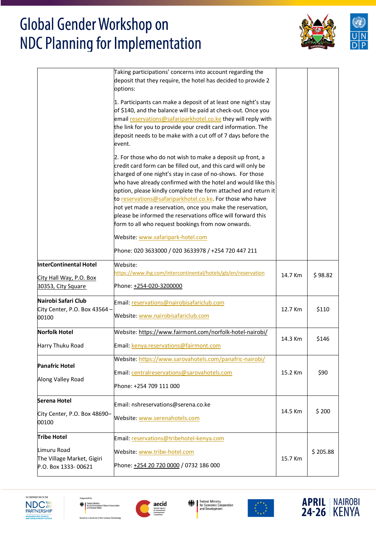

|                                                               | Taking participations' concerns into account regarding the<br>deposit that they require, the hotel has decided to provide 2<br>options:                                                                                                                                                                                                                                                                                                                                                                                                                                                                                                                                   |         |          |
|---------------------------------------------------------------|---------------------------------------------------------------------------------------------------------------------------------------------------------------------------------------------------------------------------------------------------------------------------------------------------------------------------------------------------------------------------------------------------------------------------------------------------------------------------------------------------------------------------------------------------------------------------------------------------------------------------------------------------------------------------|---------|----------|
|                                                               | 1. Participants can make a deposit of at least one night's stay<br>of \$140, and the balance will be paid at check-out. Once you<br>email reservations@safariparkhotel.co.ke they will reply with<br>the link for you to provide your credit card information. The<br>deposit needs to be make with a cut off of 7 days before the<br>event.                                                                                                                                                                                                                                                                                                                              |         |          |
|                                                               | 2. For those who do not wish to make a deposit up front, a<br>credit card form can be filled out, and this card will only be<br>charged of one night's stay in case of no-shows. For those<br>who have already confirmed with the hotel and would like this<br>option, please kindly complete the form attached and return it<br>to reservations@safariparkhotel.co.ke For those who have<br>not yet made a reservation, once you make the reservation,<br>please be informed the reservations office will forward this<br>form to all who request bookings from now onwards.<br>Website: www.safaripark-hotel.com<br>Phone: 020 3633000 / 020 3633978 / +254 720 447 211 |         |          |
| InterContinental Hotel                                        | Website:                                                                                                                                                                                                                                                                                                                                                                                                                                                                                                                                                                                                                                                                  |         |          |
|                                                               | https://www.ihg.com/intercontinental/hotels/gb/en/reservation                                                                                                                                                                                                                                                                                                                                                                                                                                                                                                                                                                                                             | 14.7 Km | \$98.82  |
| City Hall Way, P.O. Box<br>30353, City Square                 | Phone: +254-020-3200000                                                                                                                                                                                                                                                                                                                                                                                                                                                                                                                                                                                                                                                   |         |          |
| Nairobi Safari Club<br>City Center, P.O. Box 43564 -<br>00100 | Email: reservations@nairobisafariclub.com<br>Website: www.nairobisafariclub.com                                                                                                                                                                                                                                                                                                                                                                                                                                                                                                                                                                                           | 12.7 Km | \$110    |
| <b>Norfolk Hotel</b>                                          | Website: https://www.fairmont.com/norfolk-hotel-nairobi/                                                                                                                                                                                                                                                                                                                                                                                                                                                                                                                                                                                                                  |         |          |
| Harry Thuku Road                                              | Email: kenya.reservations@fairmont.com                                                                                                                                                                                                                                                                                                                                                                                                                                                                                                                                                                                                                                    | 14.3 Km | \$146    |
| <b>Panafric Hotel</b>                                         | Website: https://www.sarovahotels.com/panafric-nairobi/<br>Email: centralreservations@sarovahotels.com                                                                                                                                                                                                                                                                                                                                                                                                                                                                                                                                                                    | 15.2 Km | \$90     |
| Along Valley Road                                             | Phone: +254 709 111 000                                                                                                                                                                                                                                                                                                                                                                                                                                                                                                                                                                                                                                                   |         |          |
| Serena Hotel                                                  | Email: nshreservations@serena.co.ke                                                                                                                                                                                                                                                                                                                                                                                                                                                                                                                                                                                                                                       |         |          |
| City Center, P.O. Box 48690-<br>00100                         | Website: www.serenahotels.com                                                                                                                                                                                                                                                                                                                                                                                                                                                                                                                                                                                                                                             | 14.5 Km | \$200    |
| <b>Tribe Hotel</b>                                            | Email: reservations@tribehotel-kenya.com                                                                                                                                                                                                                                                                                                                                                                                                                                                                                                                                                                                                                                  |         |          |
| Limuru Road                                                   | Website: www.tribe-hotel.com                                                                                                                                                                                                                                                                                                                                                                                                                                                                                                                                                                                                                                              |         | \$205.88 |
| The Village Market, Gigiri<br>P.O. Box 1333-00621             | Phone: +254 20 720 0000 / 0732 186 000                                                                                                                                                                                                                                                                                                                                                                                                                                                                                                                                                                                                                                    | 15.7 Km |          |
|                                                               |                                                                                                                                                                                                                                                                                                                                                                                                                                                                                                                                                                                                                                                                           |         |          |











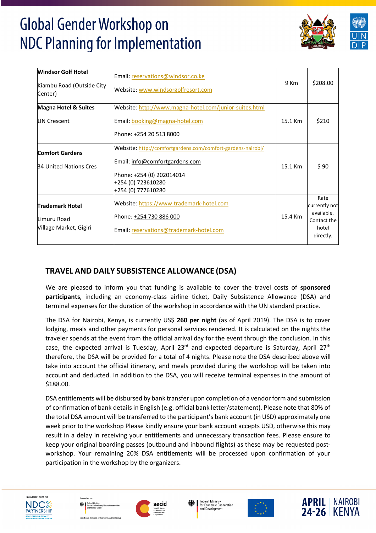

| <b>Windsor Golf Hotel</b><br>Kiambu Road (Outside City<br>Center) | Email: reservations@windsor.co.ke<br>Website: www.windsorgolfresort.com                                                                                                | 9 Km    | \$208.00                                                                 |
|-------------------------------------------------------------------|------------------------------------------------------------------------------------------------------------------------------------------------------------------------|---------|--------------------------------------------------------------------------|
| <b>Magna Hotel &amp; Suites</b>                                   | Website: http://www.magna-hotel.com/junior-suites.html                                                                                                                 |         |                                                                          |
| UN Crescent                                                       | <b>Email:</b> booking@magna-hotel.com<br>Phone: +254 20 513 8000                                                                                                       | 15.1 Km | \$210                                                                    |
| <b>Comfort Gardens</b><br>34 United Nations Cres                  | Website: http://comfortgardens.com/comfort-gardens-nairobi/<br>Email: info@comfortgardens.com<br>Phone: +254 (0) 202014014<br>+254 (0) 723610280<br>+254 (0) 777610280 | 15.1 Km | \$90                                                                     |
| <b>Trademark Hotel</b><br>Limuru Road<br>Village Market, Gigiri   | Website: https://www.trademark-hotel.com<br>Phone: +254 730 886 000<br>Email: reservations@trademark-hotel.com                                                         | 15.4 Km | Rate<br>currently not<br>available.<br>Contact the<br>hotel<br>directly. |

## **TRAVEL AND DAILY SUBSISTENCE ALLOWANCE (DSA)**

We are pleased to inform you that funding is available to cover the travel costs of **sponsored participants**, including an economy-class airline ticket, Daily Subsistence Allowance (DSA) and terminal expenses for the duration of the workshop in accordance with the UN standard practice.

The DSA for Nairobi, Kenya, is currently US\$ **260 per night** (as of April 2019). The DSA is to cover lodging, meals and other payments for personal services rendered. It is calculated on the nights the traveler spends at the event from the official arrival day for the event through the conclusion. In this case, the expected arrival is Tuesday, April  $23^{rd}$  and expected departure is Saturday, April  $27^{th}$ therefore, the DSA will be provided for a total of 4 nights. Please note the DSA described above will take into account the official itinerary, and meals provided during the workshop will be taken into account and deducted. In addition to the DSA, you will receive terminal expenses in the amount of \$188.00.

DSA entitlements will be disbursed by bank transfer upon completion of a vendor form and submission of confirmation of bank details in English (e.g. official bank letter/statement). Please note that 80% of the total DSA amount will be transferred to the participant's bank account (in USD) approximately one week prior to the workshop Please kindly ensure your bank account accepts USD, otherwise this may result in a delay in receiving your entitlements and unnecessary transaction fees. Please ensure to keep your original boarding passes (outbound and inbound flights) as these may be requested postworkshop. Your remaining 20% DSA entitlements will be processed upon confirmation of your participation in the workshop by the organizers.











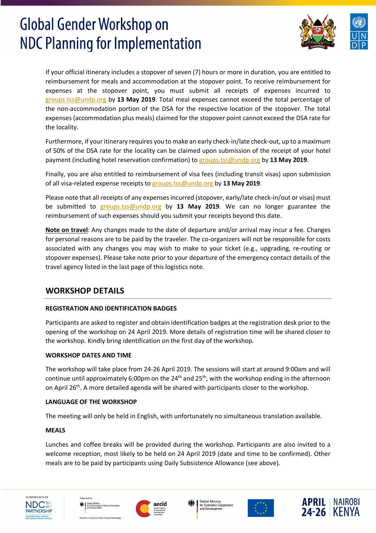

If your official itinerary includes a stopover of seven (7) hours or more in duration, you are entitled to reimbursement for meals and accommodation at the stopover point. To receive reimbursement for expenses at the stopover point, you must submit all receipts of expenses incurred to groups.tss@undp.org by **13 May 2019**. Total meal expenses cannot exceed the total percentage of the non-accommodation portion of the DSA for the respective location of the stopover. The total expenses (accommodation plus meals) claimed for the stopover point cannot exceed the DSA rate for the locality.

Furthermore, if your itinerary requires you to make an early check-in/late check-out, up to a maximum of 50% of the DSA rate for the locality can be claimed upon submission of the receipt of your hotel payment (including hotel reservation confirmation) to groups.tss@undp.org by **13 May 2019**.

Finally, you are also entitled to reimbursement of visa fees (including transit visas) upon submission of all visa-related expense receipts to groups.tss@undp.org by **13 May 2019**.

Please note that all receipts of any expenses incurred (stopover, early/late check-in/out or visas) must be submitted to groups.tss@undp.org by **13 May 2019**. We can no longer guarantee the reimbursement of such expenses should you submit your receipts beyond this date.

**Note on travel**: Any changes made to the date of departure and/or arrival may incur a fee. Changes for personal reasons are to be paid by the traveler. The co-organizers will not be responsible for costs associated with any changes you may wish to make to your ticket (e.g., upgrading, re-routing or stopover expenses). Please take note prior to your departure of the emergency contact details of the travel agency listed in the last page of this logistics note.

## **WORKSHOP DETAILS**

### **REGISTRATION AND IDENTIFICATION BADGES**

Participants are asked to register and obtain identification badges at the registration desk prior to the opening of the workshop on 24 April 2019. More details of registration time will be shared closer to the workshop. Kindly bring identification on the first day of the workshop.

### **WORKSHOP DATES AND TIME**

The workshop will take place from 24-26 April 2019. The sessions will start at around 9:00am and will continue until approximately 6:00pm on the  $24^{th}$  and  $25^{th}$ , with the workshop ending in the afternoon on April 26<sup>th</sup>. A more detailed agenda will be shared with participants closer to the workshop.

### **LANGUAGE OF THE WORKSHOP**

The meeting will only be held in English, with unfortunately no simultaneous translation available.

## **MEALS**

Lunches and coffee breaks will be provided during the workshop. Participants are also invited to a welcome reception, most likely to be held on 24 April 2019 (date and time to be confirmed). Other meals are to be paid by participants using Daily Subsistence Allowance (see above).











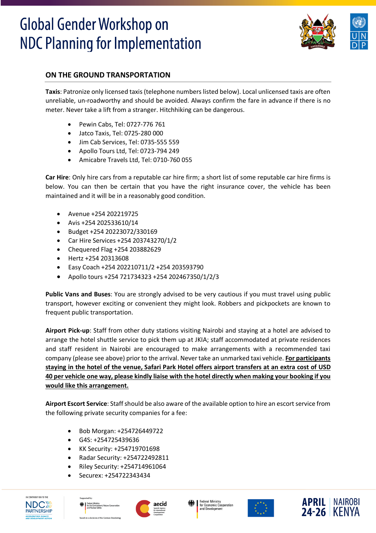

## **ON THE GROUND TRANSPORTATION**

**Taxis**: Patronize only licensed taxis (telephone numbers listed below). Local unlicensed taxis are often unreliable, un-roadworthy and should be avoided. Always confirm the fare in advance if there is no meter. Never take a lift from a stranger. Hitchhiking can be dangerous.

- Pewin Cabs, Tel: 0727-776 761
- Jatco Taxis, Tel: 0725-280 000
- Jim Cab Services, Tel: 0735-555 559
- Apollo Tours Ltd, Tel: 0723-794 249
- Amicabre Travels Ltd, Tel: 0710-760 055

**Car Hire**: Only hire cars from a reputable car hire firm; a short list of some reputable car hire firms is below. You can then be certain that you have the right insurance cover, the vehicle has been maintained and it will be in a reasonably good condition.

- Avenue +254 202219725
- Avis +254 202533610/14
- Budget +254 20223072/330169
- Car Hire Services +254 203743270/1/2
- Chequered Flag +254 203882629
- Hertz +254 20313608
- Easy Coach +254 202210711/2 +254 203593790
- Apollo tours +254 721734323 +254 202467350/1/2/3

**Public Vans and Buses**: You are strongly advised to be very cautious if you must travel using public transport, however exciting or convenient they might look. Robbers and pickpockets are known to frequent public transportation.

**Airport Pick-up**: Staff from other duty stations visiting Nairobi and staying at a hotel are advised to arrange the hotel shuttle service to pick them up at JKIA; staff accommodated at private residences and staff resident in Nairobi are encouraged to make arrangements with a recommended taxi company (please see above) prior to the arrival. Never take an unmarked taxi vehicle. **For participants staying in the hotel of the venue, Safari Park Hotel offers airport transfers at an extra cost of USD 40 per vehicle one way, please kindly liaise with the hotel directly when making your booking if you would like this arrangement.**

**Airport Escort Service**: Staff should be also aware of the available option to hire an escort service from the following private security companies for a fee:

- Bob Morgan: +254726449722
- G4S: +254725439636
- KK Security: +254719701698
- Radar Security: +254722492811
- Riley Security: +254714961064
- Securex: +254722343434











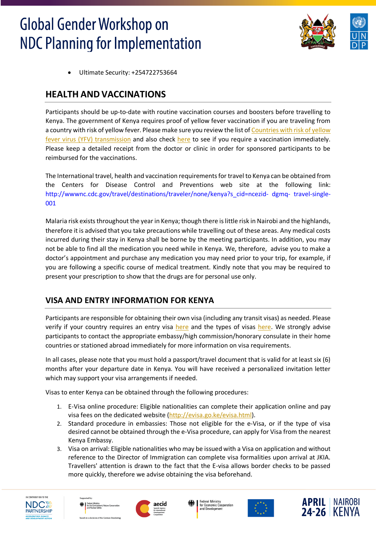

• Ultimate Security: +254722753664

## **HEALTH AND VACCINATIONS**

Participants should be up-to-date with routine vaccination courses and boosters before travelling to Kenya. The government of Kenya requires proof of yellow fever vaccination if you are traveling from a country with risk of yellow fever. Please make sure you review the list of Countries with risk of yellow fever virus (YFV) transmission and also check here to see if you require a vaccination immediately. Please keep a detailed receipt from the doctor or clinic in order for sponsored participants to be reimbursed for the vaccinations.

The International travel, health and vaccination requirements for travel to Kenya can be obtained from the Centers for Disease Control and Preventions web site at the following link: http://wwwnc.cdc.gov/travel/destinations/traveler/none/kenya?s\_cid=ncezid- dgmq- travel-single-001

Malaria risk exists throughout the year in Kenya; though there is little risk in Nairobi and the highlands, therefore it is advised that you take precautions while travelling out of these areas. Any medical costs incurred during their stay in Kenya shall be borne by the meeting participants. In addition, you may not be able to find all the medication you need while in Kenya. We, therefore, advise you to make a doctor's appointment and purchase any medication you may need prior to your trip, for example, if you are following a specific course of medical treatment. Kindly note that you may be required to present your prescription to show that the drugs are for personal use only.

## **VISA AND ENTRY INFORMATION FOR KENYA**

Participants are responsible for obtaining their own visa (including any transit visas) as needed. Please verify if your country requires an entry visa here and the types of visas here. We strongly advise participants to contact the appropriate embassy/high commission/honorary consulate in their home countries or stationed abroad immediately for more information on visa requirements.

In all cases, please note that you must hold a passport/travel document that is valid for at least six (6) months after your departure date in Kenya. You will have received a personalized invitation letter which may support your visa arrangements if needed.

Visas to enter Kenya can be obtained through the following procedures:

- 1. E-Visa online procedure: Eligible nationalities can complete their application online and pay visa fees on the dedicated website (http://evisa.go.ke/evisa.html).
- 2. Standard procedure in embassies: Those not eligible for the e-Visa, or if the type of visa desired cannot be obtained through the e-Visa procedure, can apply for Visa from the nearest Kenya Embassy.
- 3. Visa on arrival: Eligible nationalities who may be issued with a Visa on application and without reference to the Director of Immigration can complete visa formalities upon arrival at JKIA. Travellers' attention is drawn to the fact that the E-visa allows border checks to be passed more quickly, therefore we advise obtaining the visa beforehand.











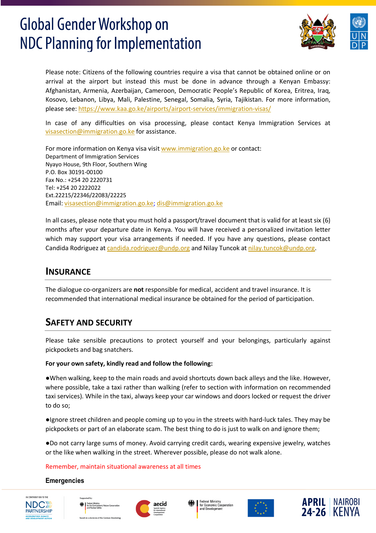

Please note: Citizens of the following countries require a visa that cannot be obtained online or on arrival at the airport but instead this must be done in advance through a Kenyan Embassy: Afghanistan, Armenia, Azerbaijan, Cameroon, Democratic People's Republic of Korea, Eritrea, Iraq, Kosovo, Lebanon, Libya, Mali, Palestine, Senegal, Somalia, Syria, Tajikistan. For more information, please see: https://www.kaa.go.ke/airports/airport-services/immigration-visas/

In case of any difficulties on visa processing, please contact Kenya Immigration Services at visasection@immigration.go.ke for assistance.

For more information on Kenya visa visit www.immigration.go.ke or contact: Department of Immigration Services Nyayo House, 9th Floor, Southern Wing P.O. Box 30191-00100 Fax No.: +254 20 2220731 Tel: +254 20 2222022 Ext.22215/22346/22083/22225 Email: visasection@immigration.go.ke; dis@immigration.go.ke

In all cases, please note that you must hold a passport/travel document that is valid for at least six (6) months after your departure date in Kenya. You will have received a personalized invitation letter which may support your visa arrangements if needed. If you have any questions, please contact Candida Rodriguez at candida.rodriguez@undp.org and Nilay Tuncok at nilay.tuncok@undp.org.

## **INSURANCE**

The dialogue co-organizers are **not** responsible for medical, accident and travel insurance. It is recommended that international medical insurance be obtained for the period of participation.

## **SAFETY AND SECURITY**

Please take sensible precautions to protect yourself and your belongings, particularly against pickpockets and bag snatchers.

## **For your own safety, kindly read and follow the following:**

●When walking, keep to the main roads and avoid shortcuts down back alleys and the like. However, where possible, take a taxi rather than walking (refer to section with information on recommended taxi services). While in the taxi, always keep your car windows and doors locked or request the driver to do so;

●Ignore street children and people coming up to you in the streets with hard-luck tales. They may be pickpockets or part of an elaborate scam. The best thing to do is just to walk on and ignore them;

●Do not carry large sums of money. Avoid carrying credit cards, wearing expensive jewelry, watches or the like when walking in the street. Wherever possible, please do not walk alone.

### Remember, maintain situational awareness at all times

### **Emergencies**











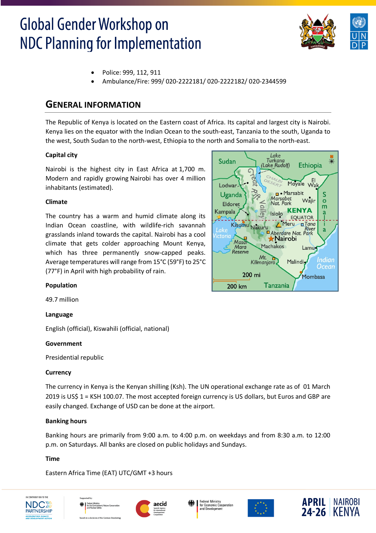

- Police: 999, 112, 911
- Ambulance/Fire: 999/ 020-2222181/ 020-2222182/ 020-2344599

## **GENERAL INFORMATION**

The Republic of Kenya is located on the Eastern coast of Africa. Its capital and largest city is Nairobi. Kenya lies on the equator with the Indian Ocean to the south-east, Tanzania to the south, Uganda to the west, South Sudan to the north-west, Ethiopia to the north and Somalia to the north-east.

### **Capital city**

Nairobi is the highest city in East Africa at 1,700 m. Modern and rapidly growing Nairobi has over 4 million inhabitants (estimated).

#### **Climate**

The country has a warm and humid climate along its Indian Ocean coastline, with wildlife-rich savannah grasslands inland towards the capital. Nairobi has a cool climate that gets colder approaching Mount Kenya, which has three permanently snow-capped peaks. Average temperatures will range from 15°C (59°F) to 25°C (77°F) in April with high probability of rain.



### **Population**

49.7 million

### **Language**

English (official), Kiswahili (official, national)

### **Government**

Presidential republic

### **Currency**

The currency in Kenya is the Kenyan shilling (Ksh). The UN operational exchange rate as of 01 March 2019 is US\$ 1 = KSH 100.07. The most accepted foreign currency is US dollars, but Euros and GBP are easily changed. Exchange of USD can be done at the airport.

### **Banking hours**

Banking hours are primarily from 9:00 a.m. to 4:00 p.m. on weekdays and from 8:30 a.m. to 12:00 p.m. on Saturdays. All banks are closed on public holidays and Sundays.

### **Time**

Eastern Africa Time (EAT) UTC/GMT +3 hours